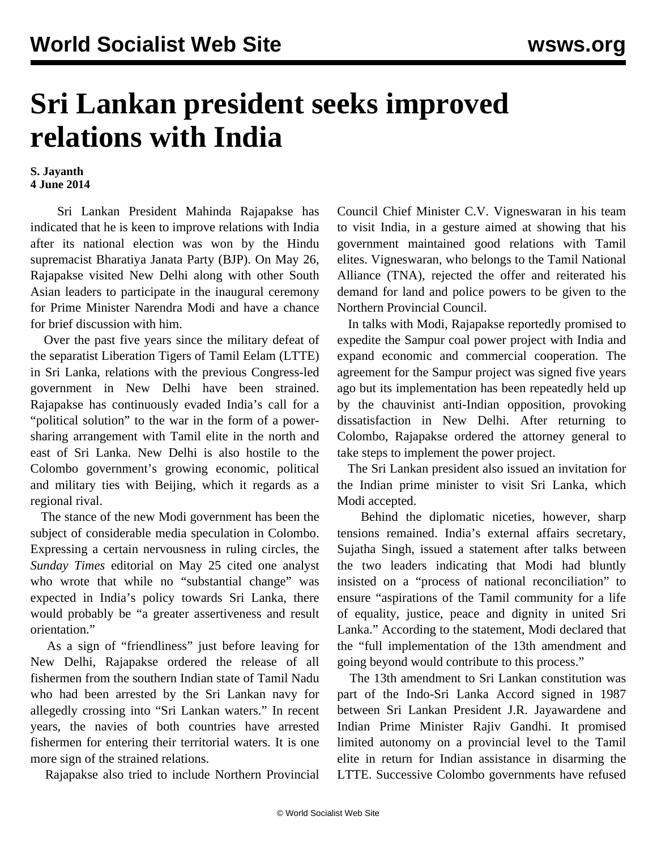## **Sri Lankan president seeks improved relations with India**

## **S. Jayanth 4 June 2014**

 Sri Lankan President Mahinda Rajapakse has indicated that he is keen to improve relations with India after its national election was won by the Hindu supremacist Bharatiya Janata Party (BJP). On May 26, Rajapakse visited New Delhi along with other South Asian leaders to participate in the inaugural ceremony for Prime Minister Narendra Modi and have a chance for brief discussion with him.

 Over the past five years since the military defeat of the separatist Liberation Tigers of Tamil Eelam (LTTE) in Sri Lanka, relations with the previous Congress-led government in New Delhi have been strained. Rajapakse has continuously evaded India's call for a "political solution" to the war in the form of a powersharing arrangement with Tamil elite in the north and east of Sri Lanka. New Delhi is also hostile to the Colombo government's growing economic, political and military ties with Beijing, which it regards as a regional rival.

 The stance of the new Modi government has been the subject of considerable media speculation in Colombo. Expressing a certain nervousness in ruling circles, the *Sunday Times* editorial on May 25 cited one analyst who wrote that while no "substantial change" was expected in India's policy towards Sri Lanka, there would probably be "a greater assertiveness and result orientation."

 As a sign of "friendliness" just before leaving for New Delhi, Rajapakse ordered the release of all fishermen from the southern Indian state of Tamil Nadu who had been arrested by the Sri Lankan navy for allegedly crossing into "Sri Lankan waters." In recent years, the navies of both countries have arrested fishermen for entering their territorial waters. It is one more sign of the strained relations.

Rajapakse also tried to include Northern Provincial

Council Chief Minister C.V. Vigneswaran in his team to visit India, in a gesture aimed at showing that his government maintained good relations with Tamil elites. Vigneswaran, who belongs to the Tamil National Alliance (TNA), rejected the offer and reiterated his demand for land and police powers to be given to the Northern Provincial Council.

 In talks with Modi, Rajapakse reportedly promised to expedite the Sampur coal power project with India and expand economic and commercial cooperation. The agreement for the Sampur project was signed five years ago but its implementation has been repeatedly held up by the chauvinist anti-Indian opposition, provoking dissatisfaction in New Delhi. After returning to Colombo, Rajapakse ordered the attorney general to take steps to implement the power project.

 The Sri Lankan president also issued an invitation for the Indian prime minister to visit Sri Lanka, which Modi accepted.

 Behind the diplomatic niceties, however, sharp tensions remained. India's external affairs secretary, Sujatha Singh, issued a statement after talks between the two leaders indicating that Modi had bluntly insisted on a "process of national reconciliation" to ensure "aspirations of the Tamil community for a life of equality, justice, peace and dignity in united Sri Lanka." According to the statement, Modi declared that the "full implementation of the 13th amendment and going beyond would contribute to this process."

 The 13th amendment to Sri Lankan constitution was part of the Indo-Sri Lanka Accord signed in 1987 between Sri Lankan President J.R. Jayawardene and Indian Prime Minister Rajiv Gandhi. It promised limited autonomy on a provincial level to the Tamil elite in return for Indian assistance in disarming the LTTE. Successive Colombo governments have refused